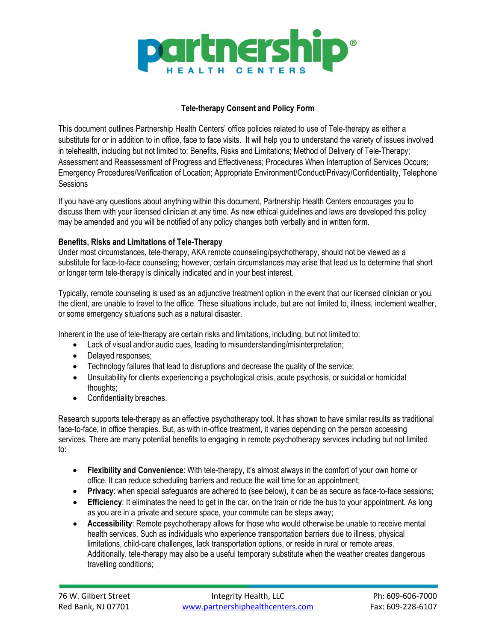

# **Tele-therapy Consent and Policy Form**

This document outlines Partnership Health Centers' office policies related to use of Tele-therapy as either a substitute for or in addition to in office, face to face visits. It will help you to understand the variety of issues involved in telehealth, including but not limited to: Benefits, Risks and Limitations; Method of Delivery of Tele-Therapy; Assessment and Reassessment of Progress and Effectiveness; Procedures When Interruption of Services Occurs; Emergency Procedures/Verification of Location; Appropriate Environment/Conduct/Privacy/Confidentiality, Telephone **Sessions** 

If you have any questions about anything within this document, Partnership Health Centers encourages you to discuss them with your licensed clinician at any time. As new ethical guidelines and laws are developed this policy may be amended and you will be notified of any policy changes both verbally and in written form.

## **Benefits, Risks and Limitations of Tele-Therapy**

Under most circumstances, tele-therapy, AKA remote counseling/psychotherapy, should not be viewed as a substitute for face-to-face counseling; however, certain circumstances may arise that lead us to determine that short or longer term tele-therapy is clinically indicated and in your best interest.

Typically, remote counseling is used as an adjunctive treatment option in the event that our licensed clinician or you, the client, are unable to travel to the office. These situations include, but are not limited to, illness, inclement weather, or some emergency situations such as a natural disaster.

Inherent in the use of tele-therapy are certain risks and limitations, including, but not limited to:

- Lack of visual and/or audio cues, leading to misunderstanding/misinterpretation;
- Delayed responses;
- Technology failures that lead to disruptions and decrease the quality of the service;
- Unsuitability for clients experiencing a psychological crisis, acute psychosis, or suicidal or homicidal thoughts;
- Confidentiality breaches.

Research supports tele-therapy as an effective psychotherapy tool. It has shown to have similar results as traditional face-to-face, in office therapies. But, as with in-office treatment, it varies depending on the person accessing services. There are many potential benefits to engaging in remote psychotherapy services including but not limited to:

- **Flexibility and Convenience**: With tele-therapy, it's almost always in the comfort of your own home or office. It can reduce scheduling barriers and reduce the wait time for an appointment;
- **Privacy**: when special safeguards are adhered to (see below), it can be as secure as face-to-face sessions;
- **Efficiency**: It eliminates the need to get in the car, on the train or ride the bus to your appointment. As long as you are in a private and secure space, your commute can be steps away;
- **Accessibility**: Remote psychotherapy allows for those who would otherwise be unable to receive mental health services. Such as individuals who experience transportation barriers due to illness, physical limitations, child-care challenges, lack transportation options, or reside in rural or remote areas. Additionally, tele-therapy may also be a useful temporary substitute when the weather creates dangerous travelling conditions;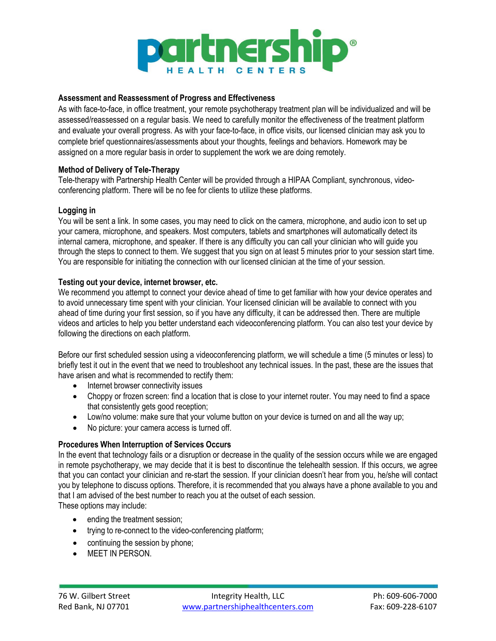

### **Assessment and Reassessment of Progress and Effectiveness**

As with face-to-face, in office treatment, your remote psychotherapy treatment plan will be individualized and will be assessed/reassessed on a regular basis. We need to carefully monitor the effectiveness of the treatment platform and evaluate your overall progress. As with your face-to-face, in office visits, our licensed clinician may ask you to complete brief questionnaires/assessments about your thoughts, feelings and behaviors. Homework may be assigned on a more regular basis in order to supplement the work we are doing remotely.

## **Method of Delivery of Tele-Therapy**

Tele-therapy with Partnership Health Center will be provided through a HIPAA Compliant, synchronous, videoconferencing platform. There will be no fee for clients to utilize these platforms.

#### **Logging in**

You will be sent a link. In some cases, you may need to click on the camera, microphone, and audio icon to set up your camera, microphone, and speakers. Most computers, tablets and smartphones will automatically detect its internal camera, microphone, and speaker. If there is any difficulty you can call your clinician who will guide you through the steps to connect to them. We suggest that you sign on at least 5 minutes prior to your session start time. You are responsible for initiating the connection with our licensed clinician at the time of your session.

## **Testing out your device, internet browser, etc.**

We recommend you attempt to connect your device ahead of time to get familiar with how your device operates and to avoid unnecessary time spent with your clinician. Your licensed clinician will be available to connect with you ahead of time during your first session, so if you have any difficulty, it can be addressed then. There are multiple videos and articles to help you better understand each videoconferencing platform. You can also test your device by following the directions on each platform.

Before our first scheduled session using a videoconferencing platform, we will schedule a time (5 minutes or less) to briefly test it out in the event that we need to troubleshoot any technical issues. In the past, these are the issues that have arisen and what is recommended to rectify them:

- Internet browser connectivity issues
- Choppy or frozen screen: find a location that is close to your internet router. You may need to find a space that consistently gets good reception;
- Low/no volume: make sure that your volume button on your device is turned on and all the way up;
- No picture: your camera access is turned off.

## **Procedures When Interruption of Services Occurs**

In the event that technology fails or a disruption or decrease in the quality of the session occurs while we are engaged in remote psychotherapy, we may decide that it is best to discontinue the telehealth session. If this occurs, we agree that you can contact your clinician and re-start the session. If your clinician doesn't hear from you, he/she will contact you by telephone to discuss options. Therefore, it is recommended that you always have a phone available to you and that I am advised of the best number to reach you at the outset of each session. These options may include:

- ending the treatment session;
- trying to re-connect to the video-conferencing platform;
- continuing the session by phone;
- MEET IN PERSON.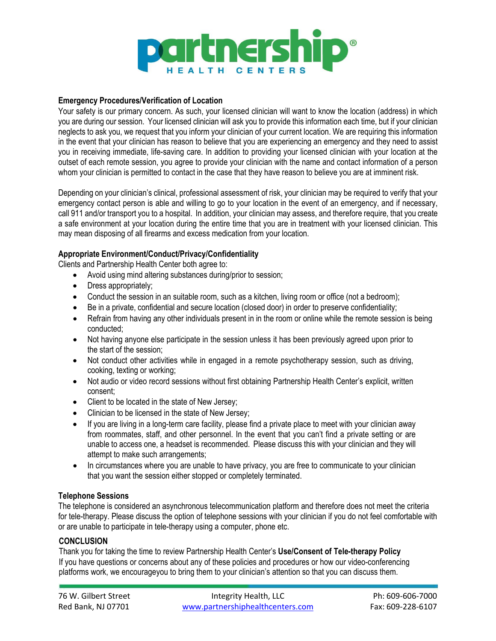

## **Emergency Procedures/Verification of Location**

Your safety is our primary concern. As such, your licensed clinician will want to know the location (address) in which you are during our session. Your licensed clinician will ask you to provide this information each time, but if your clinician neglects to ask you, we request that you inform your clinician of your current location. We are requiring this information in the event that your clinician has reason to believe that you are experiencing an emergency and they need to assist you in receiving immediate, life-saving care. In addition to providing your licensed clinician with your location at the outset of each remote session, you agree to provide your clinician with the name and contact information of a person whom your clinician is permitted to contact in the case that they have reason to believe you are at imminent risk.

Depending on your clinician's clinical, professional assessment of risk, your clinician may be required to verify that your emergency contact person is able and willing to go to your location in the event of an emergency, and if necessary, call 911 and/or transport you to a hospital. In addition, your clinician may assess, and therefore require, that you create a safe environment at your location during the entire time that you are in treatment with your licensed clinician. This may mean disposing of all firearms and excess medication from your location.

## **Appropriate Environment/Conduct/Privacy/Confidentiality**

Clients and Partnership Health Center both agree to:

- Avoid using mind altering substances during/prior to session;
- Dress appropriately:
- Conduct the session in an suitable room, such as a kitchen, living room or office (not a bedroom);
- Be in a private, confidential and secure location (closed door) in order to preserve confidentiality;
- Refrain from having any other individuals present in in the room or online while the remote session is being conducted;
- Not having anyone else participate in the session unless it has been previously agreed upon prior to the start of the session;
- Not conduct other activities while in engaged in a remote psychotherapy session, such as driving, cooking, texting or working;
- Not audio or video record sessions without first obtaining Partnership Health Center's explicit, written consent;
- Client to be located in the state of New Jersey;
- Clinician to be licensed in the state of New Jersey;
- If you are living in a long-term care facility, please find a private place to meet with your clinician away from roommates, staff, and other personnel. In the event that you can't find a private setting or are unable to access one, a headset is recommended. Please discuss this with your clinician and they will attempt to make such arrangements;
- In circumstances where you are unable to have privacy, you are free to communicate to your clinician that you want the session either stopped or completely terminated.

#### **Telephone Sessions**

The telephone is considered an asynchronous telecommunication platform and therefore does not meet the criteria for tele-therapy. Please discuss the option of telephone sessions with your clinician if you do not feel comfortable with or are unable to participate in tele-therapy using a computer, phone etc.

#### **CONCLUSION**

Thank you for taking the time to review Partnership Health Center's **Use/Consent of Tele-therapy Policy** If you have questions or concerns about any of these policies and procedures or how our video-conferencing platforms work, we encourageyou to bring them to your clinician's attention so that you can discuss them.

| 76 W. Gilbert Street | Integrity Health, LLC            | Ph: 609-606-7000  |
|----------------------|----------------------------------|-------------------|
| Red Bank, NJ 07701   | www.partnershiphealthcenters.com | Fax: 609-228-6107 |